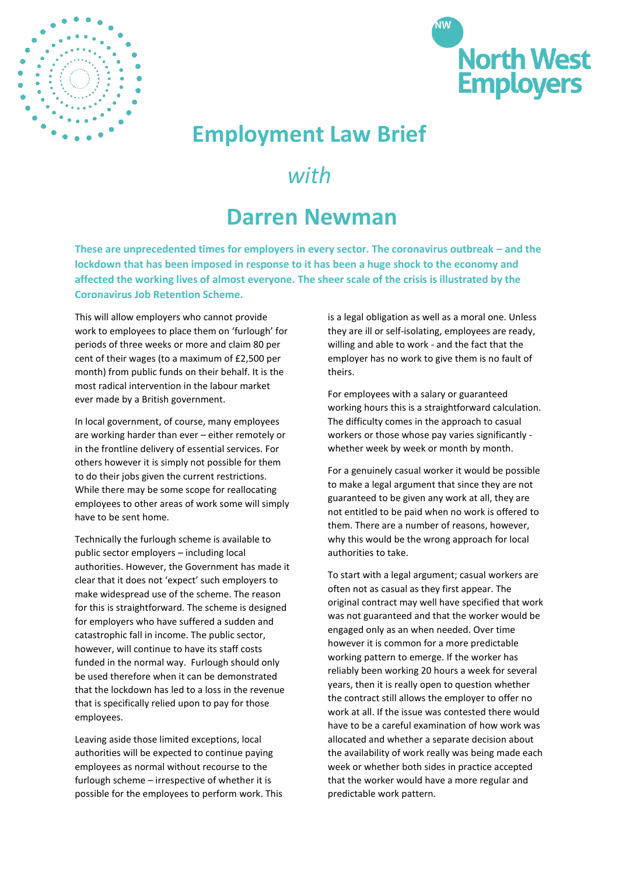



## **Employment Law Brief**

## *with*

## **Darren Newman**

**These are unprecedented times for employers in every sector. The coronavirus outbreak – and the lockdown that has been imposed in response to it has been a huge shock to the economy and affected the working lives of almost everyone. The sheer scale of the crisis is illustrated by the Coronavirus Job Retention Scheme.** 

This will allow employers who cannot provide work to employees to place them on 'furlough' for periods of three weeks or more and claim 80 per cent of their wages (to a maximum of £2,500 per month) from public funds on their behalf. It is the most radical intervention in the labour market ever made by a British government.

In local government, of course, many employees are working harder than ever – either remotely or in the frontline delivery of essential services. For others however it is simply not possible for them to do their jobs given the current restrictions. While there may be some scope for reallocating employees to other areas of work some will simply have to be sent home.

Technically the furlough scheme is available to public sector employers – including local authorities. However, the Government has made it clear that it does not 'expect' such employers to make widespread use of the scheme. The reason for this is straightforward. The scheme is designed for employers who have suffered a sudden and catastrophic fall in income. The public sector, however, will continue to have its staff costs funded in the normal way. Furlough should only be used therefore when it can be demonstrated that the lockdown has led to a loss in the revenue that is specifically relied upon to pay for those employees.

Leaving aside those limited exceptions, local authorities will be expected to continue paying employees as normal without recourse to the furlough scheme – irrespective of whether it is possible for the employees to perform work. This is a legal obligation as well as a moral one. Unless they are ill or self-isolating, employees are ready, willing and able to work - and the fact that the employer has no work to give them is no fault of theirs.

For employees with a salary or guaranteed working hours this is a straightforward calculation. The difficulty comes in the approach to casual workers or those whose pay varies significantly whether week by week or month by month.

For a genuinely casual worker it would be possible to make a legal argument that since they are not guaranteed to be given any work at all, they are not entitled to be paid when no work is offered to them. There are a number of reasons, however, why this would be the wrong approach for local authorities to take.

To start with a legal argument; casual workers are often not as casual as they first appear. The original contract may well have specified that work was not guaranteed and that the worker would be engaged only as an when needed. Over time however it is common for a more predictable working pattern to emerge. If the worker has reliably been working 20 hours a week for several years, then it is really open to question whether the contract still allows the employer to offer no work at all. If the issue was contested there would have to be a careful examination of how work was allocated and whether a separate decision about the availability of work really was being made each week or whether both sides in practice accepted that the worker would have a more regular and predictable work pattern.